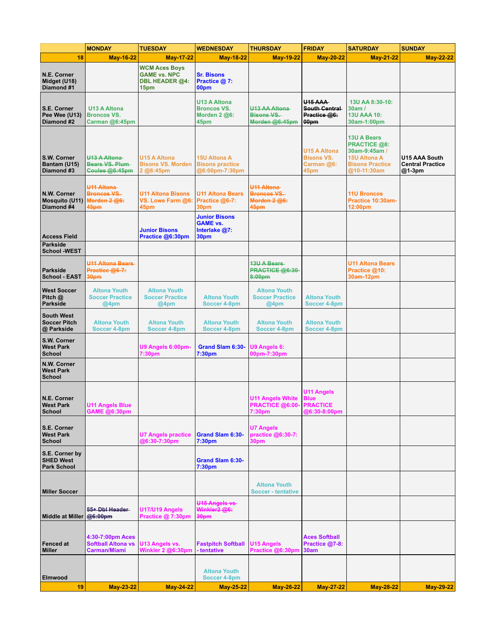|                                                          | <b>MONDAY</b>                                                   | <b>TUESDAY</b>                                                               | <b>WEDNESDAY</b>                                                  | <b>THURSDAY</b>                                                      | <b>FRIDAY</b>                                                       | <b>SATURDAY</b>                                                                                                            | <b>SUNDAY</b>                                      |
|----------------------------------------------------------|-----------------------------------------------------------------|------------------------------------------------------------------------------|-------------------------------------------------------------------|----------------------------------------------------------------------|---------------------------------------------------------------------|----------------------------------------------------------------------------------------------------------------------------|----------------------------------------------------|
| 18                                                       | <b>May-16-22</b>                                                | <b>May-17-22</b>                                                             | <b>May-18-22</b>                                                  | <b>May-19-22</b>                                                     | <b>May-20-22</b>                                                    | <b>May-21-22</b>                                                                                                           | <b>May-22-22</b>                                   |
| N.E. Corner<br>Midget (U18)<br>Diamond #1                |                                                                 | <b>WCM Aces Boys</b><br><b>GAME vs. NPC</b><br><b>DBL HEADER @4:</b><br>15pm | <b>Sr. Bisons</b><br>Practice @ 7:<br>00pm                        |                                                                      |                                                                     |                                                                                                                            |                                                    |
| S.E. Corner<br>Pee Wee (U13)<br>Diamond #2               | <b>U13 A Altona</b><br><b>Broncos VS.</b><br>Carman @6:45pm     |                                                                              | <b>U13 A Altona</b><br><b>Broncos VS.</b><br>Morden 2 @6:<br>45pm | U13 AA Altona<br><b>Bisons VS.</b><br>Morden @6:45pm                 | <b>U15 AAA</b><br>South Central<br>Practice @6:<br>00pm             | 13U AA 8:30-10:<br>30am/<br><b>13U AAA 10:</b><br>30am-1:00pm                                                              |                                                    |
| S.W. Corner<br>Bantam (U15)<br>Diamond #3                | U13 A Altona<br>Bears VS. Plum-<br>Coulee @6:45pm               | <b>U15 A Altona</b><br><b>Bisons VS. Morden</b><br>2 @6:45pm                 | <b>15U Altona A</b><br><b>Bisons practice</b><br>@6:00pm-7:30pm   |                                                                      | <b>U15 A Altona</b><br><b>Bisons VS.</b><br>Carman @6:<br>45pm      | <b>13U A Bears</b><br><b>PRACTICE @8:</b><br>30am-9:45am /<br><b>15U Altona A</b><br><b>Bisons Practice</b><br>@10-11:30am | U15 AAA South<br><b>Central Practice</b><br>@1-3pm |
| N.W. Corner<br><b>Mosquito (U11)</b><br>Diamond #4       | <b>U11 Altona</b><br><b>Broncos VS.</b><br>Morden 2 @6:<br>45pm | <b>U11 Altona Bisons</b><br>VS. Lowe Farm @6:<br>45pm                        | <b>U11 Altona Bears</b><br>Practice @6-7:<br>30pm                 | U <sub>11</sub> Altona<br><b>Broncos VS.</b><br>Morden 2 @6:<br>45pm |                                                                     | <b>11U Broncos</b><br>Practice 10:30am-<br>12:00pm                                                                         |                                                    |
| <b>Access Field</b>                                      |                                                                 | <b>Junior Bisons</b><br>Practice @6:30pm                                     | <b>Junior Bisons</b><br><b>GAME vs.</b><br>Interlake @7:<br>30pm  |                                                                      |                                                                     |                                                                                                                            |                                                    |
| Parkside<br><b>School -WEST</b>                          |                                                                 |                                                                              |                                                                   |                                                                      |                                                                     |                                                                                                                            |                                                    |
| Parkside<br><b>School - EAST</b>                         | <b>U11 Altona Bears</b><br>Practice @6-7:<br>30pm               |                                                                              |                                                                   | <b>13U A Bears</b><br>PRACTICE @6:30-<br>8:00pm                      |                                                                     | <b>U11 Altona Bears</b><br>Practice @10:<br>30am-12pm                                                                      |                                                    |
| <b>West Soccer</b><br>Pitch $@$<br>Parkside              | <b>Altona Youth</b><br><b>Soccer Practice</b><br>@4pm           | <b>Altona Youth</b><br><b>Soccer Practice</b><br>@4pm                        | <b>Altona Youth</b><br><b>Soccer 4-8pm</b>                        | <b>Altona Youth</b><br><b>Soccer Practice</b><br>@4pm                | <b>Altona Youth</b><br>Soccer 4-8pm                                 |                                                                                                                            |                                                    |
| <b>South West</b><br><b>Soccer Pitch</b><br>@ Parkside   | <b>Altona Youth</b><br>Soccer 4-8pm                             | <b>Altona Youth</b><br><b>Soccer 4-8pm</b>                                   | <b>Altona Youth</b><br>Soccer 4-8pm                               | <b>Altona Youth</b><br>Soccer 4-8pm                                  | <b>Altona Youth</b><br>Soccer 4-8pm                                 |                                                                                                                            |                                                    |
| S.W. Corner<br><b>West Park</b><br>School                |                                                                 | U9 Angels 6:00pm-<br>7:30pm                                                  | Grand Slam 6:30-<br>7:30pm                                        | U9 Angels 6:<br>00pm-7:30pm                                          |                                                                     |                                                                                                                            |                                                    |
| N.W. Corner<br><b>West Park</b><br>School                |                                                                 |                                                                              |                                                                   |                                                                      |                                                                     |                                                                                                                            |                                                    |
| N.E. Corner<br><b>West Park</b><br><b>School</b>         | U11 Angels Blue<br>GAME @6:30pm                                 |                                                                              |                                                                   | <b>U11 Angels White</b><br><b>PRACTICE @6:00-</b><br>7:30pm          | <b>U11 Angels</b><br><b>Blue</b><br><b>PRACTICE</b><br>@6:30-8:00pm |                                                                                                                            |                                                    |
| S.E. Corner<br><b>West Park</b><br><b>School</b>         |                                                                 | <b>U7 Angels practice</b><br>@6:30-7:30pm                                    | Grand Slam 6:30-<br>7:30 <sub>pm</sub>                            | <b>U7 Angels</b><br>practice @6:30-7:<br>30pm                        |                                                                     |                                                                                                                            |                                                    |
| S.E. Corner by<br><b>SHED West</b><br><b>Park School</b> |                                                                 |                                                                              | Grand Slam 6:30-<br>7:30pm                                        |                                                                      |                                                                     |                                                                                                                            |                                                    |
| <b>Miller Soccer</b>                                     |                                                                 |                                                                              |                                                                   | <b>Altona Youth</b><br><b>Soccer - tentative</b>                     |                                                                     |                                                                                                                            |                                                    |
| <b>Middle at Miller</b>                                  | 55+ Dbl Header<br>@6:00pm                                       | U17/U19 Angels<br>Practice @ 7:30pm                                          | U <sub>15</sub> Angels vs<br>Winkler2 @6:<br>30pm                 |                                                                      |                                                                     |                                                                                                                            |                                                    |
| <b>Fenced at</b><br><b>Miller</b>                        | 4:30-7:00pm Aces<br><b>Softball Altona vs</b><br>Carman/Miami   | U13 Angels vs.<br>Winkler 2 @6:30pm                                          | <b>Fastpitch Softball</b><br>- tentative                          | <b>U15 Angels</b><br>Practice @6:30pm                                | <b>Aces Softball</b><br>Practice @7-8:<br>30am                      |                                                                                                                            |                                                    |
| Elmwood                                                  |                                                                 |                                                                              | <b>Altona Youth</b><br>Soccer 4-8pm                               |                                                                      |                                                                     |                                                                                                                            |                                                    |
| 19                                                       | <b>May-23-22</b>                                                | <b>May-24-22</b>                                                             | <b>May-25-22</b>                                                  | <b>May-26-22</b>                                                     | <b>May-27-22</b>                                                    | <b>May-28-22</b>                                                                                                           | <b>May-29-22</b>                                   |